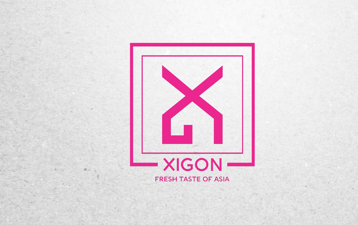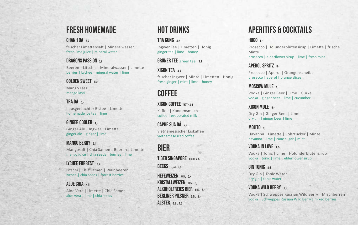### fresh homemade

#### CHANH DA 52

frischer Limettensaft | Mineralwasser fresh lime juice | mineral water

#### dragons passion5,2

Beeren | Litschis | Mineralwasser | Limette berries | Lychee | mineral water | lime

#### GOI DEN SWEET 52

Mango Lassi mango lassi

#### **TRA DA 5**hausgemachter Eistee | Limette homemade ice tea | lime

### **GINGER COOLER 49**

Ginger Ale | Ingwer | Limette ginger ale | ginger | lime

#### MANGO BERRY 51

Mangosaft | Chia Samen | Beeren | Limette mango juice | chia seeds | berries | lime

# LYCHEE FORREST 52

Litschi | Chia Samen | Waldbeeren lychee | chia seeds | forrest berries

#### ALOE CHIA 48 Aloe Vera | Limette | Chia Samen aloe vera | lime | chia seeds

# hot drinks

### TRA GUNG 42

Ingwer Tee | Limetten | Honig ginger tea | lime | honey

#### GRÜNER TEE green tea 3,9

### **XIGON TEA**  $45$

frischer Ingwer | Minze | Limetten | Honig fresh ginger | mint | lime | honey

# **COFFEE**

XIGON COFFEE **HOT-3.9** Kaffee | Kondensmilch coffee | evaporated milk

CAPHE SUA DÁ 55 vietnamesischer Eiskaffee vietnamese iced coffee

# bier

TIGER SINGAPORE 0,33L 4.5

**BECKS** 0,33L 3.5

HEFEWEIZEN 0.5L 5kristallweizen 0,5l 5,- ALKOHOLFREIES BIER 0.5L 5 -**BERLINER PILSNER** 0.5L 5 -ALSTER 05145

# Aperitifs & cocktails

#### HUGO 8-

Prosecco | Holunderblütensirup | Limette | frische Minze

prosecco | elderflower sirup | lime | fresh mint

### APEROL SPRITZ 8,-

Prosecco | Aperol | Orangenscheibe prosecco | aperol | orange slices

**MOSCOW MULE 9-**Vodka | Ginger Beer | Lime | Gurke vodka | ginger beer | lime | cucumber

### XIGON MULE 9-

Dry Gin | Ginger Beer | Lime dry gin | ginger beer | lime

MOJITO 9.-Havanna | Limette | Rohrzucker | Minze havanna | lime | cane sugar | mint

### VODKA IN LOVE 85

Vodka | Tonic | Lime | Holunderblütensirup vodka | tonic | lime | elderflower sirup

GIN TONIC 8.5

Dry Gin | Tonic Water dry gin | tonic water

#### VODKA WILD BERRY 85

Vodka | Schweppes Russian Wild Berry | Mischberren vodka | Schweppes Russian Wild Berry | mixed berries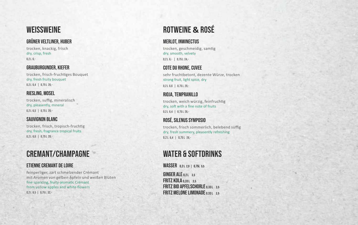### **WEISSWEINE**

#### Grüner Veltliner, Huber

trocken, knackig, frisch dry, crisp, fresh  $0.2 L 6. -$ 

#### Grauburgunder, kiefer

trocken, frisch-fruchtiges Bouquet dry, fresh fruity bouquet  $0,2 L 6,4 | 0,75 L 26,-$ 

#### Riesling, Mosel

trocken, suffig, mineralisch dry, pleasently, mineral 0,2 L 6,5 | 0,75 L 26,-

#### sauvignon Blanc

trocken, frisch, tropisch-fruchtig dry, fresh, fragrance tropical fruits  $0,2 L 6,6$  |  $0,75 L 28,-$ 

# Cremant/Champagne

#### Etienne Cremant de loire

feinperliger, zart schmelzender Crémant mit Aromen von gelben Äpfeln und weißen Blüten fine sparkling, fruity-aromatic Crémant from yellow apples and white flowers 0,2 L 8,5 | 0,75 L 32,-

# RotWEINe **&** Rosé

#### Merlot, Inwinectus trocken, geschmeidig, samtig dry, smooth, velvety

 $0.2 L 6 - 1 0.75 L 24$ 

#### COTE DU RHONE, CUVEE

sehr fruchtbetont, dezente Würze, trocken strong fruit, light spice, dry

 $0,2 L 6,6$  |  $0,75 L 29,-$ 

#### Rioja, Tempranillo trocken, weich würzig, feinfruchtig

dry, soft with a fine note of fruits  $0,2 L 6,4 | 0,75 L 26,-$ 

#### Rosé, silenus Symposio trocken, frisch sommerlich, belebend süffig dry, fresh summery, pleasently refreshing 0,2 L 6,4 | 0,75 L 26,-

# WATER & SOFTDRINKS

WASSER 0,2L 2,9 | 0,75L 5,5

GINGER ALE 0.21 35 **FRITZ KOLA 0.33L 3.5 FRITZ BIO APFELSCHORLE 0,331 35** FRITZ MELONE LIMONADE 0,33L 3,5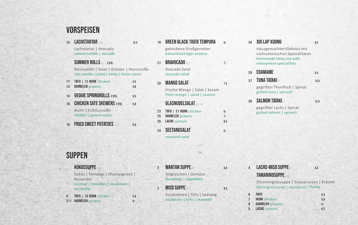### Vorspeisen

15 LACHSTARTAR B, D, F 12,5

Lachstartar | Avocado salmon tartare | avocado

SUMMER ROLLS MC 2 STK. Reisnudeln | Salat | Kräuter | Hoisinsoße

rice noodles |salad | herbs | hoisin sauce

- 11 **Tofu** | 12 **Huhn** chicken 5,5 13 **GARNELEN** prawns 5.8
- 14 VEGGIE SPRINGROLLS 2 STK. 5.5
- 16 CHICKEN SATE SKEWERS 2 STK 5.9 Huhn | Erdnusssoße chicken | peanut sauce
- 18 **FRIED SWEET POTATOES** ALD 55

## **SUPPEN**

KOKOSSUPPE

Kokos | Tomaten | Champignons | Koriander

- coconut | tomatoes | mushroom | coriander
- **9 TOFU** | 10 HUHN chicken 52 5.5 **S11 GARNELEN** prawns 6,-
- 19 GREEN BLACK TIGER TEMPURA 6gebackene Großgarnelen baked black tiger prawns
- 27 **BRAVOCADO** NUE **7,-**Avocado Salat avocado salad
- 20 **MANGO SALAT if**  $\frac{1}{2}$  7.5 frische Mango | Salat | Sesam fresh mango | salad | sesame

#### **GLASNUDELSALAT BRANK**

| 23 | TOFU   21 HUHN chicken | 6.-   |
|----|------------------------|-------|
| 25 | <b>GARNELEN</b> prawns | $7 -$ |
| 26 | <b>LACHS</b> salmon    | 8.5   |
|    |                        |       |

24 SEETANGSALAT 5.seaweed salat

2 WANTAN SUPPE M 5.6 Teigtaschen | Gemüse dumplings | vegetables

**MISO SUPPE** M 4,2

Sojabohnen | Tofu | Seetang sojabeans | tofu | seaweed

28 XOI LAP XUONG 9.2

Hausgemachter Klebreis mit vietnamesischen Spezialitäten homemade sticky rice with vietnamese specialities

- 29 **EDAMAME** 5.5
- 37 **TUNA TATAKI A 13.5** gegrillter Thunfisch | Spinat grilled tuna | spinach
- **38 SALMON TATAKI A 12.5** gegrillter Lachs | Spinat grilled salmon | spinach

### **LACHS-MISO SUPPE M**  $5.4$

#### TAMARINDSUPPE **JRC** Zitronengrassuppe | Sojasprossen | Kräuter

#### lemongrass soup | sojaspouts | herbs

6 **Tofu** 5,5 **HUHN** chicken 56 **GARNELEN** prawns 6,-5 **Lachs** salmon 6,2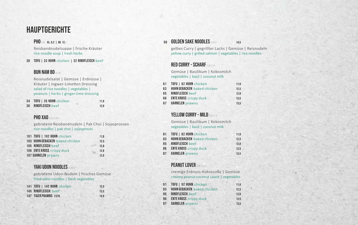### **HAUPTGERICHTE**

#### PHO NM KL. 6,2 | GR. 12,-

Reisbandnudelsuppe | frische Kräuter rice noodle soup | fresh herbs

30 **Tofu** | 33 **Huhn** chicken | 32 **Rindfleisch** beef

#### **BUN NAM BO NHAM**

Reisnudelsalat | Gemüse | Erdnüsse | Kräuter | Ingwer-Limetten Dressing salad of rice noodles | vegetables | peanuts | herbs | ginger-lime dressing

| 34 | TOFU   35 HUHN chicken  | 11.9 |
|----|-------------------------|------|
| 36 | <b>RINDFLEISCH beef</b> | 12.9 |

#### PHO XAO AN IGML

gebratene Reisbandnudeln | Pak Choi | Sojasprossen rice noodles | pak choi | sojasprouts

| 101 TOFU   102 HUHN chicken     | 11.8 |
|---------------------------------|------|
| 103 HUHN GEBACKEN baked chicken | 12.5 |
| 105 RINDFLEISCH beef            | 12.8 |
| 106 ENTE KROSS crispy duck      | 12.8 |
| 107 GARNELEN prawns             | 12.9 |

#### YAKI UDON NOODLES

gebratene Udon-Nudeln | frisches Gemüse fried udon noodles | fresh vegetables

| 141 TOFU   142 HUHN chicken   | 12.5 |
|-------------------------------|------|
| 145 RINDFLEISCH beef          | 13.5 |
| <b>147 TIGER PRAWNS 3STK.</b> | 14.9 |

#### 50 GOLDEN SAKE NOODLES BNDL

gelbes Curry | gegrillter Lachs | Gemüse | Reisnudeln yellow curry | grilled salmon | vegetables | rice noodles

#### $RFD$   $CII RRY - SCHARF$   $_{OMCN}$

Gemüse | Basilikum | Kokosmilch vegetables | basil | coconut milk

| 61 | TOFU   62 HUHN chicken             | 11.9 |
|----|------------------------------------|------|
| 63 | <b>HUHN GEBACKEN</b> baked chicken | 12.5 |
| 65 | <b>RINDFLEISCH beef</b>            | 12.8 |
| 66 | <b>ENTE KROSS</b> crispy duck      | 13.5 |
| 67 | <b>GARNELEN</b> prawns             | 13.5 |

#### **YELLOW CURRY - MILD DAMLEN**

Gemüse | Basilikum | Kokosmilch vegetables | basil | coconut milk

| 81 | TOFU   82 HUHN chicken             | 11.9 |
|----|------------------------------------|------|
| 83 | <b>HUHN GEBACKEN</b> baked chicken | 12.5 |
| 85 | <b>RINDFLEISCH beef</b>            | 12.8 |
| 86 | <b>ENTE KROSS</b> crispy duck      | 13.5 |
| 87 | <b>GARNELEN</b> prawns             | 13.5 |

#### PEANUT LOVER DMLCNH

cremige Erdnuss-Kokossoße | Gemüse creamy peanut-coconut sauce | vegetables

| 91 | TOFU   92 HUHN chicken             | 11.9 |
|----|------------------------------------|------|
| 93 | <b>HUHN GEBACKEN</b> baked chicken | 12.5 |
| 95 | <b>RINDFLEISCH beef</b>            | 12.8 |
| 96 | <b>ENTE KROSS</b> crispy duck      | 13.5 |
| 97 | <b>GARNELEN</b> prawns             | 13.5 |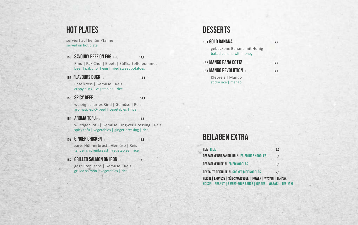### hot plates

serviert auf heißer Pfanne served on hot plate

150 SAVOURY BEEF ON EGG NAOL 14.9

Rind | Pak Choi | Eibett | Süßkartoffelpommes beef | pak choi | egg | fried sweet potatoes

**156 FLAVOURS DUCK IN 14.9** 

Ente kross | Gemüse | Reis crispy duck | vegetables | rice

**155 SPICY BEEF N 14.9** 

würzig-scharfes Rind | Gemüse | Reis aromatic-spicy beef | vegetables | rice

#### 151 AROMA TOFU M  $_{\rm MN}$  13.5

würziger Tofu | Gemüse | Ingwer-Dressing | Reis spicy tofu | vegetables | ginger-dressing | rice

152 GINGER CHICKEN IN 13.8

zarte Hühnerbrust | Gemüse | Reis tender chickenbreast | vegetables | rice

#### 157 **GRILLED SALMON ON IRON NB** gegrillter Lachs | Gemüse | Reis grilled salmon | vegetables | rice

# **DESSERTS**

| <b>181 GOLD BANANA</b>                                | 5,5 |
|-------------------------------------------------------|-----|
| gebackene Banane mit Honig<br>baked banana with honey |     |
| 182 MANGO PANA COTTA <b>10</b>                        | 5,5 |
| <b>183 MANGO REVOLUTION</b>                           | 6,9 |
| Klebreis   Mango<br>sticky rice   mango               |     |

### Beilagen extra

| <b>REIS RICE</b>                                                | 2.0 |
|-----------------------------------------------------------------|-----|
| <b>GEBRATENE REISBANDNUDELN FRIED RICE NOODLES</b>              | 3.5 |
| <b>GEBRATENE NUDELN FRIED NOODLES</b>                           | 3.5 |
| <b>GEKOCHTE REISNUDELN COOKED RICE NOODLES</b>                  | 2.5 |
| HOISIN   ERDNUSS   SÜB-SAUER SOBE   INGWER   WASABI   TERIYAKI  |     |
| HOISIN   PEANUT   SWEET-SOUR SAUCE   GINGER   WASABI   TERIYAKI |     |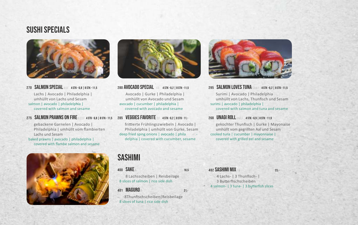### Sushi specials



270 SALMON SPECIAL BDF 4 STK - 6,8 | 8 STK - 11.5 Lachs | Avocado | Philadelphia | umhüllt von Lachs und Sesam salmon | avocado | philadelphia | covered with salmon and sesame

#### 275 SALMON PRAWNS ON FIRE BIGDE 4STK-6,8 | 8STK-11,5 285 VEGGIES FAVORITE OF 4STK-6,2 | 8STK-11,-

gebackene Garnelen | Avocado | Philadelphia | umhüllt vom flambierten Lachs und Sesam

baked prawns | avocado | philadelphia | covered with flambe salmon and sesame





280 AVOCADO SPECIAL FD 4 STK - 6,2 | 8 STK - 11,5 Avocado | Gurke | Philadelphia | umhüllt von Avocado und Sesam avocado | cucumber | philadelphia | covered with avocado and sesame

frittierte Frühlingszwiebeln | Avocado | Philadelphia | umhüllt von Gurke, Sesam deep fried sping onions | avocado | phila delphia | covered with cucumber, sesame

### Sashimi

400 SAKE B 185 8 Lachsscheiben | Reisbeilage

8 slices of salmon | rice side dish

401 **MAGURO** B 21,-

8Thunfischscheiben | Reisbeilage 8 slices of tuna | rice side dish



295 SALMON LOVES TUNA CO.B.F 4 STK - 6,2 | 8 STK - 11,5 Surimi | Avocado | Philadelphia umhüllt von Lachs, Thunfisch und Sesam surimi | avocado | philadelphia | covered with salmon and tuna and sesame

#### 268 UNAGI ROLL BNDF 4 STK - 6.9 | 8 STK - 11.9

gekochter Thunfisch | Gurke | Mayonaise umhüllt vom gegrillten Aal und Sesam cooked tuna | cucumber | mayonnaise | covered with grilled eel and sesame

#### 402 SASHIMI MIX B 23,-

4 Lachs- | 3 Thunfisch- | 3 Butterfischscheiben 4 salmon- | 3 tuna- | 3 butterfish slices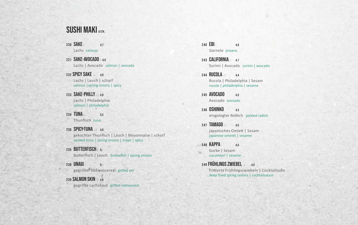## SUSHI MAKI 6 STK.

230 SAKE B 4.7 Lachs salmon

231 SAKE-AVOCADO B 4.9 Lachs | Avocado salmon | avocado

232 SPICY SAKE B 4.9 Lachs | Lauch | scharf salmon | spring onions | spicy

233 **SAKE-PHILLY** B,D 4.9 Lachs | Philadelphia salmon | philadelphia

234 TUNA 6.2

Thunfisch tuna

236 SPICY-TUNA BA 4.6 gekochter Thunfisch | Lauch | Mayonnaise | scharf cooked tuna | spring onions | mayo | spicy

235 **BUTTERFISCH b** 5,-Butterfisch | Lauch butterfish | spring onions

 $238$  UNAGI<sub>N</sub>  $5.$ gegrillter Süßwasseraal grilled eel

239 SALMON SKIN B 46 gegrillte Lachshaut grilled salmonskin  $240$   $EBI_0$  4.8 Garnele prawns

243 CALIFORNIA C 47 Surimi | Avocado surimi | avocado

244 **RUCOLA 60 4.4** Rucola | Philadelphia | Sesam rucola | philadelphia | sesame

245 AVOCADO 45 Avocado avocado

246 OSHINKO 4.3 eingelegter Rettich pickled radish

247 **TAMAGO AF 4.5** japanisches Omlett | Sesam japanese omelet | sesame

248 KAPPA 45 Gurke | Sesam cucumber | sesame

249 FRÜHLINGS ZWIEBEL 4 4.5 frittierte Frühlingszwiebeln | Cocktailsoße deep fried spring onions | cocktailsauce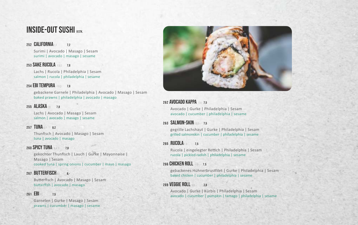### **INSIDE-OUT SUSHI**

#### 252 **CALIFORNIA** C.F 7.2

Surimi | Avocado | Masago | Sesam surimi | avocado | masago | sesame

#### 253 SAKE RUCOLA FRD 78

Lachs | Rucola | Philadelphia | Sesam salmon | rucola | philadelphia | sesame

#### 254 **EBI TEMPURA** FRD 78

gebackene Garnele | Philadelphia | Avocado | Masago | Sesam baked prawns | philadelphia | avocado | masago

#### 255 ALASKA FR 78

Lachs | Avocado | Masago | Sesam salmon | avocado | masago | sesame

#### 257 TUNA B 82

Thunfisch | Avocado | Masago | Sesam tuna | avocado | masago

#### $260$  SPICY TUNA BASE 78

gekochter Thunfisch | Lauch | Gurke | Mayonnaise | Masago | Sesam cooked tuna | spring onions | cucumber | mayo | masago

#### 267 BUTTERFISCH BE

Butterfisch | Avocado | Masago | Sesam butterfish | avocado | masago

#### 261 **EBI** FC 7.5

Garnelen | Gurke | Masago | Sesam prawns | cucumber | masago | sesame



#### 262 **AVOCADO KAPPA 54, 75**

Avocado | Gurke | Philadelphia | Sesam avocado | cucumber | philadelphia | sesame

#### 263 SALMON-SKIN FROM 75

gegrille Lachshaut | Gurke | Philadelphia | Sesam grilled salmonskin | cucumber | philadelphia | sesame

#### 265 **RUCOLA** 60 7.5

Rucola | eingelegter Rettich | Philadelphia | Sesam rucola | pickled radish | philadelphia | sesame

#### 266 CHICKEN ROLL FD 75

gebackenes Hühnerbrustfilet | Gurke | Philadelphia | Sesam baked chicken | cucumber | philadelphia | sesame

#### 269 VEGGIE ROLL ED 7.8

Avocado | Gurke | Kürbis | Philadelphia | Sesam avocado | cucumber | pumpkin | tamago | philadelphia | sesame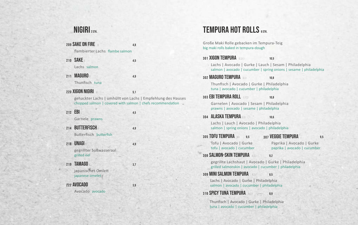# NIGIRI 2 STK.

| 209 SAKE ON FIRE<br>flambierter Lachs flambe salmon                                                                                            | 4.8 |
|------------------------------------------------------------------------------------------------------------------------------------------------|-----|
| 210 SAKE<br>Lachs salmon                                                                                                                       | 4,5 |
| 211 MAGURO B<br>Thunfisch tuna                                                                                                                 | 4,9 |
| 220 XIGON NIGIRI<br>gehackter Lachs   umhüllt von Lachs   Empfehlung des Hauses<br>chopped salmon   covered with salmon   chefs recommendation | 5,1 |
| 212 EBI $\circ$<br>Garnele prawns                                                                                                              | 4,5 |
| 214 BUTTERFISCH<br>Butterfisch butterfish                                                                                                      | 4,9 |
| 218 UNAGI B<br>gegrillter Süßwasseraal<br>grilled eel                                                                                          | 4,9 |
| 219 TAMAGO A<br>japanisches Omlett<br>japanese omelet                                                                                          | 3,7 |
| <b>222 AVOCADO</b><br>Avocado avocado                                                                                                          | 3,9 |

# TEMPURA HOT ROLLS 6STK.

Große Maki Rolle gebacken im Tempura-Teig big maki rolls baked in tempura-dough

|     | 301 XIGON TEMPURA BORD                                                                                                        | 10.5                                                      |     |
|-----|-------------------------------------------------------------------------------------------------------------------------------|-----------------------------------------------------------|-----|
|     | Lachs   Avocado   Gurke   Lauch   Sesam   Philadelphia<br>salmon   avocado   cucumber   spring onions   sesame   philadelphia |                                                           |     |
|     | 302 MAGURO TEMPURA BOL                                                                                                        | 10,8                                                      |     |
|     | Thunfisch   Avocado   Gurke   Philadelphia<br>tuna   avocado   cucumber   philadelphia                                        |                                                           |     |
|     | 303 <b>EBI TEMPURA ROLL</b> GEDI                                                                                              | 10.8                                                      |     |
|     | Garnelen   Avocado   Sesam   Philadelphia<br>prawns   avocado   sesame   philadelphia                                         |                                                           |     |
| 304 | <b>ALASKA TEMPURA B.D.I</b>                                                                                                   | 10.6                                                      |     |
|     | Lachs   Lauch   Avocado   Philadelphia<br>salmon   spring onions   avocado   philadelphia                                     |                                                           |     |
|     | 305 TOFU TEMPURA<br>9.5                                                                                                       | 307 VEGGIE TEMPURA                                        | 9,5 |
|     | Tofu   Avocado   Gurke<br>tofu   avocado   cucumber                                                                           | Paprika   Avocado   Gurke<br>paprika   avocado   cucumber |     |
|     | <b>308 SALMON-SKIN TEMPURA ADJ</b>                                                                                            | 9.2                                                       |     |
|     | gegrillte Lachshaut   Avocado   Gurke   Philadelphia<br>grilled salmonskin   avocado   cucumber   philadelphia                |                                                           |     |
|     | 309 MINI SALMON TEMPURA<br>ADI                                                                                                | 8.5                                                       |     |
|     | Lachs   Avocado   Gurke   Philadelphia<br>salmon   avocado   cucumber   philadelphia                                          |                                                           |     |
|     | <b>310 SPICY TUNA TEMPURA</b> ADJ                                                                                             | 8,9                                                       |     |
|     | Thunfisch   Avocado   Gurke   Philadelphia<br>tuna   avocado   cucumber   philadelphia                                        |                                                           |     |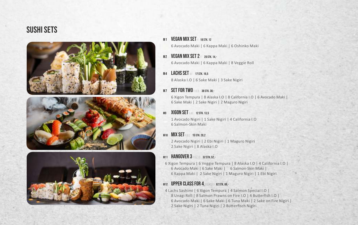## Sushi sets







M1 **VEGAN MIX SET 18 STK 12** 

6 Avocado Maki | 6 Kappa Maki | 6 Oshinko Maki

- M<sub>2</sub> VEGAN MIX SET 2 **F** 20 STK 14 -6 Avocado Maki | 6 Kappa Maki | 8 Veggie Roll
- M4 LACHS SET BE 17 STK 16.5 8 Alaska I.O | 6 Sake Maki | 3 Sake Nigiri

#### **M7 SET FOR TWO** FLOR 38 STK 38 -

6 Xigon Tempura | 8 Alaska I.O | 8 California I.O | 6 Avocado Maki | 6 Sake Maki | 2 Sake Nigiri | 2 Maguro Nigiri

#### M9 XIGON SET E.BC 12 STK. 13.5

1 Avocado Nigiri | 1 Sake Nigiri | 4 California I.O 6 Salmon-Skin Maki

#### M10 **MIX SET** ERC 15 STK. 20.2

2 Avocado Nigiri | 2 Ebi Nigiri | 1 Maguro Nigiri 2 Sake Nigiri | 8 Alaska I.O

#### M11 HANGOVER 3 **EBCLD** 52 STK. 52.-

6 Xigon Tempura | 6 Veggie Tempura | 8 Alaska I.O | 4 California I.O | 6 Avocado Maki | 6 Sake Maki | 6 Salmon-Skin Maki | 6 Kappa Maki | 2 Sake Nigiri | 1 Maguro Nigiri | 1 Ebi Nigiri

#### M12 UPPER CLASS FOR 4 **BONDEL 62 STK. 69.-**

4 Lachs Sashimi | 6 Xigon Tempura | 4 Salmon Special I.O | 8 Unagi Roll | 8 Salmon Prawns on Fire I.O | 4 Butterfish I.O | 6 Avocado Maki | 6 Sake Maki | 6 Tuna Maki | 2 Sake on Fire Nigiri | 2 Sake Nigiri | 2 Tuna Nigiri | 2 Butterfisch Nigiri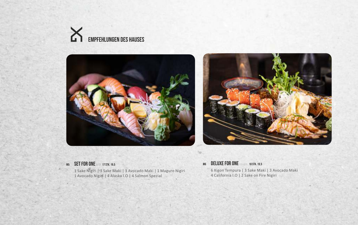





#### **M5 SET FOR ONE B, ED 17 STK. 19,5**

1 Sake Nigiri | 3 Sake Maki | 3 Avocado Maki | 1 Maguro Nigiri 1 Avocado Nigiri | 4 Alaska I.O | 4 Salmon Spezial

#### **M6 DELUXE FOR ONE ID, A, B, C 18 STK. 19,5**

6 Xigon Tempura | 3 Sake Maki | 3 Avocado Maki 4 California I.O | 2 Sake on Fire Nigiri